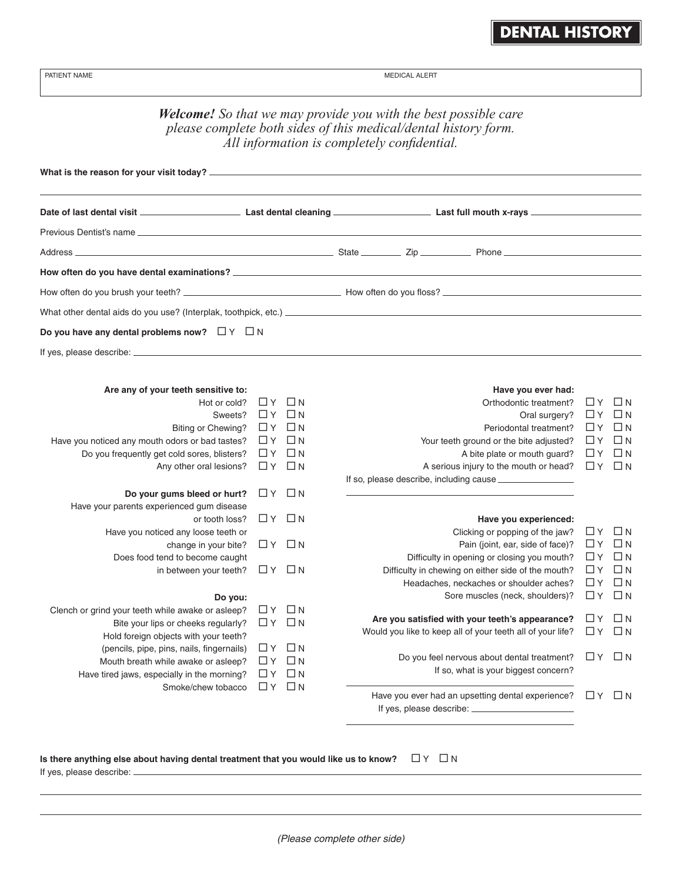**DENTAL HISTORY**

| PATIENT NAME                                                                                                                                                                             |                |                                   | <b>MEDICAL ALERT</b>                                                                                                                                                                                                           |                      |                       |  |  |  |  |  |  |
|------------------------------------------------------------------------------------------------------------------------------------------------------------------------------------------|----------------|-----------------------------------|--------------------------------------------------------------------------------------------------------------------------------------------------------------------------------------------------------------------------------|----------------------|-----------------------|--|--|--|--|--|--|
| <b>Welcome!</b> So that we may provide you with the best possible care<br>please complete both sides of this medical/dental history form.<br>All information is completely confidential. |                |                                   |                                                                                                                                                                                                                                |                      |                       |  |  |  |  |  |  |
|                                                                                                                                                                                          |                |                                   |                                                                                                                                                                                                                                |                      |                       |  |  |  |  |  |  |
|                                                                                                                                                                                          |                |                                   |                                                                                                                                                                                                                                |                      |                       |  |  |  |  |  |  |
|                                                                                                                                                                                          |                |                                   |                                                                                                                                                                                                                                |                      |                       |  |  |  |  |  |  |
| Address ____                                                                                                                                                                             |                |                                   | State Zip Phone National Communication of the State State Communication of the State Communication of the State Communication of the State Communication of the State Communication of the State Communication of the State Co |                      |                       |  |  |  |  |  |  |
|                                                                                                                                                                                          |                |                                   |                                                                                                                                                                                                                                |                      |                       |  |  |  |  |  |  |
|                                                                                                                                                                                          |                |                                   |                                                                                                                                                                                                                                |                      |                       |  |  |  |  |  |  |
|                                                                                                                                                                                          |                |                                   |                                                                                                                                                                                                                                |                      |                       |  |  |  |  |  |  |
|                                                                                                                                                                                          |                |                                   |                                                                                                                                                                                                                                |                      |                       |  |  |  |  |  |  |
| Do you have any dental problems now? $\Box Y \Box N$                                                                                                                                     |                |                                   |                                                                                                                                                                                                                                |                      |                       |  |  |  |  |  |  |
|                                                                                                                                                                                          |                |                                   |                                                                                                                                                                                                                                |                      |                       |  |  |  |  |  |  |
| Are any of your teeth sensitive to:                                                                                                                                                      |                |                                   | Have you ever had:                                                                                                                                                                                                             |                      |                       |  |  |  |  |  |  |
| Hot or cold?                                                                                                                                                                             |                | ∐Y □N                             | Orthodontic treatment?                                                                                                                                                                                                         | $\Box$ Y             | $\Box$ N              |  |  |  |  |  |  |
| Sweets?                                                                                                                                                                                  |                | $\Box$ $Y$ $\Box$ $N$             | Oral surgery?                                                                                                                                                                                                                  |                      | ЦҮ ЦН                 |  |  |  |  |  |  |
| Biting or Chewing?                                                                                                                                                                       |                | $\Box$ $Y$ $\Box$ $N$             | Periodontal treatment?                                                                                                                                                                                                         | ∐Y                   | $\Box$ N              |  |  |  |  |  |  |
| Have you noticed any mouth odors or bad tastes?                                                                                                                                          |                | $\Box$ $Y$ $\Box$ $N$             | Your teeth ground or the bite adjusted?                                                                                                                                                                                        | ∐Y                   | $\Box$ N              |  |  |  |  |  |  |
| Do you frequently get cold sores, blisters?<br>Any other oral lesions?                                                                                                                   | $\Box$ Y       | $\Box$ $Y$ $\Box$ $N$<br>$\Box$ N | A bite plate or mouth guard?<br>A serious injury to the mouth or head?                                                                                                                                                         | $\Box$ Y<br>$\Box$ Y | $\Box$ N<br>$\Box$ N  |  |  |  |  |  |  |
|                                                                                                                                                                                          |                |                                   | If so, please describe, including cause                                                                                                                                                                                        |                      |                       |  |  |  |  |  |  |
| Do your gums bleed or hurt?                                                                                                                                                              |                | ∐Y □N                             |                                                                                                                                                                                                                                |                      |                       |  |  |  |  |  |  |
| Have your parents experienced gum disease                                                                                                                                                |                |                                   |                                                                                                                                                                                                                                |                      |                       |  |  |  |  |  |  |
| or tooth loss?                                                                                                                                                                           |                | $\Box$ y $\Box$ n                 | Have you experienced:                                                                                                                                                                                                          |                      |                       |  |  |  |  |  |  |
| Have you noticed any loose teeth or                                                                                                                                                      |                |                                   | Clicking or popping of the jaw?                                                                                                                                                                                                | UΥ                   | ШN                    |  |  |  |  |  |  |
| change in your bite?                                                                                                                                                                     |                | $\Box$ $Y$ $\Box$ $N$             | Pain (joint, ear, side of face)?                                                                                                                                                                                               | $\Box$ Y             | $\Box$ N<br>□Ν        |  |  |  |  |  |  |
| Does food tend to become caught<br>in between your teeth?                                                                                                                                |                | $\Box$ $Y$ $\Box$ $N$             | Difficulty in opening or closing you mouth?<br>Difficulty in chewing on either side of the mouth?                                                                                                                              | ∐Y<br>□Y             | $\Box N$              |  |  |  |  |  |  |
|                                                                                                                                                                                          |                |                                   | Headaches, neckaches or shoulder aches?                                                                                                                                                                                        | □ Y                  | $\Box$ N              |  |  |  |  |  |  |
| Do you:                                                                                                                                                                                  |                |                                   | Sore muscles (neck, shoulders)?                                                                                                                                                                                                | $\Box$ Y             | $\Box$ N              |  |  |  |  |  |  |
| Clench or grind your teeth while awake or asleep?                                                                                                                                        | □Υ             | $\Box$ N                          |                                                                                                                                                                                                                                |                      |                       |  |  |  |  |  |  |
| Bite your lips or cheeks regularly?                                                                                                                                                      |                | $\Box$ $Y$ $\Box$ $N$             | Are you satisfied with your teeth's appearance?                                                                                                                                                                                | ⊡Y                   | □Ν                    |  |  |  |  |  |  |
| Hold foreign objects with your teeth?                                                                                                                                                    |                |                                   | Would you like to keep all of your teeth all of your life?                                                                                                                                                                     | $\Box$ Y             | $\Box N$              |  |  |  |  |  |  |
| (pencils, pipe, pins, nails, fingernails)                                                                                                                                                | ∐Y             | $\Box$ N                          | Do you feel nervous about dental treatment?                                                                                                                                                                                    |                      | $\Box$ $Y$ $\Box$ $N$ |  |  |  |  |  |  |
| Mouth breath while awake or asleep?                                                                                                                                                      | □Υ             | $\Box N$                          | If so, what is your biggest concern?                                                                                                                                                                                           |                      |                       |  |  |  |  |  |  |
| Have tired jaws, especially in the morning?<br>Smoke/chew tobacco                                                                                                                        | ∐Y<br>$\Box$ Y | $\Box N$<br>$\Box N$              |                                                                                                                                                                                                                                |                      |                       |  |  |  |  |  |  |
|                                                                                                                                                                                          |                |                                   | Have you ever had an upsetting dental experience?                                                                                                                                                                              |                      | $\Box$ $Y$ $\Box$ $N$ |  |  |  |  |  |  |
| Is there anything else about having dental treatment that you would like us to know?                                                                                                     |                |                                   | $\Box$ $Y$ $\Box$ $N$                                                                                                                                                                                                          |                      |                       |  |  |  |  |  |  |